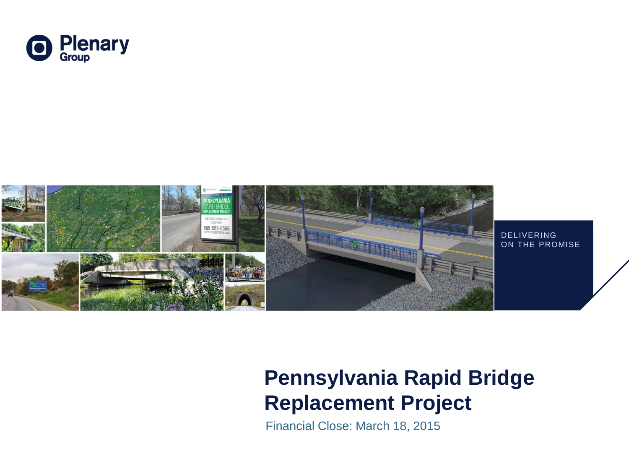



## **Pennsylvania Rapid Bridge Replacement Project**

Financial Close: March 18, 2015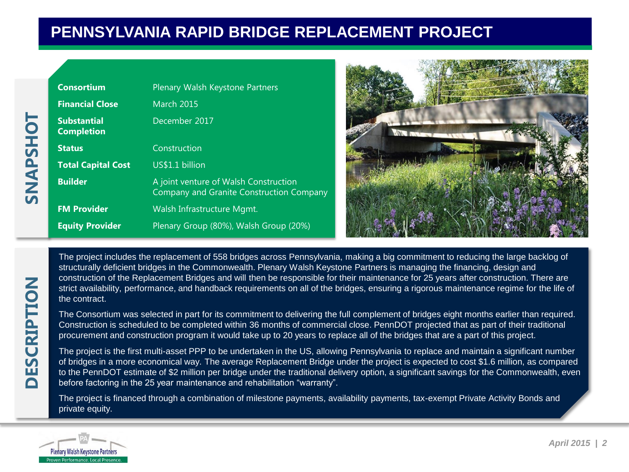## **PENNSYLVANIA RAPID BRIDGE REPLACEMENT PROJECT**

| <b>Consortium</b>                       | Plenary Walsh Keystone Partners                                                   |  |
|-----------------------------------------|-----------------------------------------------------------------------------------|--|
| <b>Financial Close</b>                  | <b>March 2015</b>                                                                 |  |
| <b>Substantial</b><br><b>Completion</b> | December 2017                                                                     |  |
| <b>Status</b>                           | Construction                                                                      |  |
| <b>Total Capital Cost</b>               | US\$1.1 billion                                                                   |  |
| <b>Builder</b>                          | A joint venture of Walsh Construction<br>Company and Granite Construction Company |  |
| <b>FM Provider</b>                      | Walsh Infrastructure Mgmt.                                                        |  |
| <b>Equity Provider</b>                  | Plenary Group (80%), Walsh Group (20%)                                            |  |



The project includes the replacement of 558 bridges across Pennsylvania, making a big commitment to reducing the large backlog of structurally deficient bridges in the Commonwealth. Plenary Walsh Keystone Partners is managing the financing, design and construction of the Replacement Bridges and will then be responsible for their maintenance for 25 years after construction. There are strict availability, performance, and handback requirements on all of the bridges, ensuring a rigorous maintenance regime for the life of the contract.

The Consortium was selected in part for its commitment to delivering the full complement of bridges eight months earlier than required. Construction is scheduled to be completed within 36 months of commercial close. PennDOT projected that as part of their traditional procurement and construction program it would take up to 20 years to replace all of the bridges that are a part of this project.

The project is the first multi-asset PPP to be undertaken in the US, allowing Pennsylvania to replace and maintain a significant number of bridges in a more economical way. The average Replacement Bridge under the project is expected to cost \$1.6 million, as compared to the PennDOT estimate of \$2 million per bridge under the traditional delivery option, a significant savings for the Commonwealth, even before factoring in the 25 year maintenance and rehabilitation "warranty".

The project is financed through a combination of milestone payments, availability payments, tax-exempt Private Activity Bonds and private equity.



**TOHSANNS**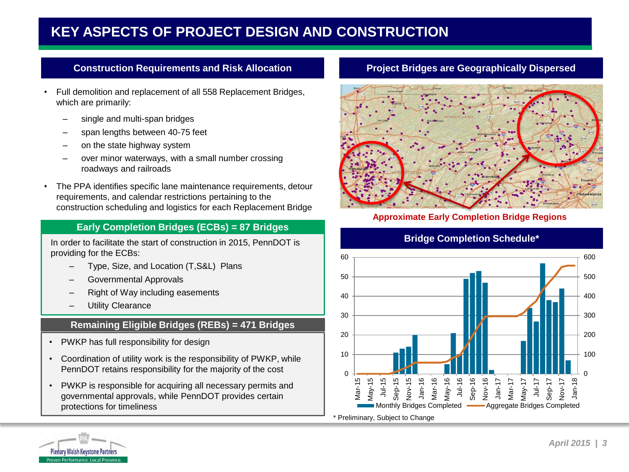## **KEY ASPECTS OF PROJECT DESIGN AND CONSTRUCTION**

#### **Construction Requirements and Risk Allocation**

- Full demolition and replacement of all 558 Replacement Bridges, which are primarily:
	- single and multi-span bridges
	- span lengths between 40-75 feet
	- on the state highway system
	- over minor waterways, with a small number crossing roadways and railroads
- The PPA identifies specific lane maintenance requirements, detour requirements, and calendar restrictions pertaining to the construction scheduling and logistics for each Replacement Bridge

#### **Early Completion Bridges (ECBs) = 87 Bridges**

In order to facilitate the start of construction in 2015, PennDOT is providing for the ECBs:

- Type, Size, and Location (T,S&L) Plans
- Governmental Approvals
- Right of Way including easements
- **Utility Clearance**

#### **Remaining Eligible Bridges (REBs) = 471 Bridges**

- PWKP has full responsibility for design
- Coordination of utility work is the responsibility of PWKP, while PennDOT retains responsibility for the majority of the cost
- PWKP is responsible for acquiring all necessary permits and governmental approvals, while PennDOT provides certain protections for timeliness

#### **Project Bridges are Geographically Dispersed**



#### **Approximate Early Completion Bridge Regions**

#### **Bridge Completion Schedule\***



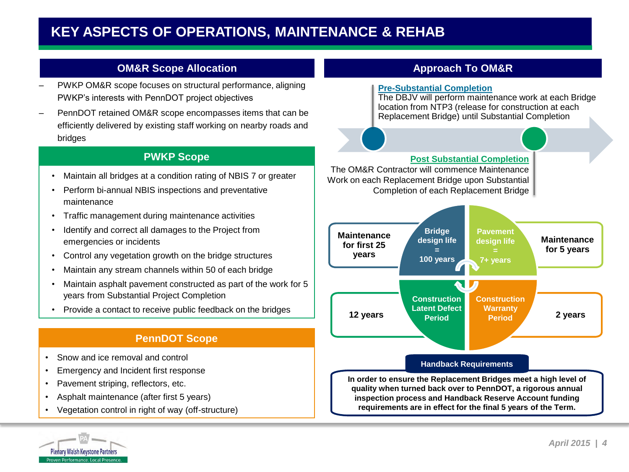### **KEY ASPECTS OF OPERATIONS, MAINTENANCE & REHAB**

#### **OM&R Scope Allocation**

- PWKP OM&R scope focuses on structural performance, aligning PWKP's interests with PennDOT project objectives
- PennDOT retained OM&R scope encompasses items that can be efficiently delivered by existing staff working on nearby roads and bridges

#### **PWKP Scope**

- Maintain all bridges at a condition rating of NBIS 7 or greater
- Perform bi-annual NBIS inspections and preventative maintenance
- Traffic management during maintenance activities
- Identify and correct all damages to the Project from emergencies or incidents
- Control any vegetation growth on the bridge structures
- Maintain any stream channels within 50 of each bridge
- Maintain asphalt pavement constructed as part of the work for 5 years from Substantial Project Completion
- Provide a contact to receive public feedback on the bridges

#### **PennDOT Scope**

- Snow and ice removal and control
- Emergency and Incident first response
- Pavement striping, reflectors, etc.
- Asphalt maintenance (after first 5 years)
- Vegetation control in right of way (off-structure)



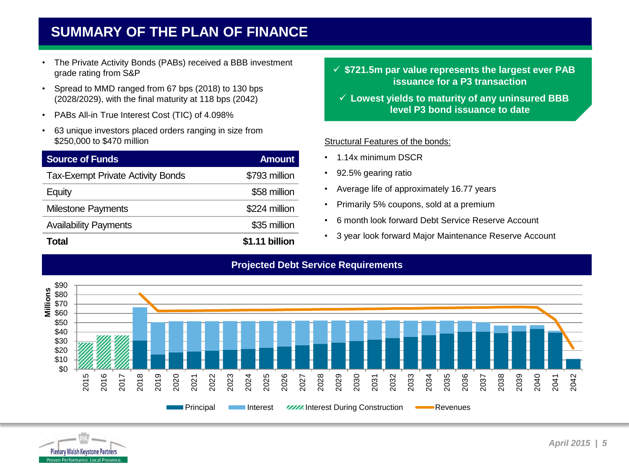## **SUMMARY OF THE PLAN OF FINANCE**

- The Private Activity Bonds (PABs) received a BBB investment grade rating from S&P
- Spread to MMD ranged from 67 bps (2018) to 130 bps (2028/2029), with the final maturity at 118 bps (2042)
- PABs All-in True Interest Cost (TIC) of 4.098%
- 63 unique investors placed orders ranging in size from \$250,000 to \$470 million

| <b>Source of Funds</b>                   | <b>Amount</b>  |
|------------------------------------------|----------------|
| <b>Tax-Exempt Private Activity Bonds</b> | \$793 million  |
| Equity                                   | \$58 million   |
| <b>Milestone Payments</b>                | \$224 million  |
| <b>Availability Payments</b>             | \$35 million   |
| Total                                    | \$1.11 billion |

 **\$721.5m par value represents the largest ever PAB issuance for a P3 transaction**

 **Lowest yields to maturity of any uninsured BBB level P3 bond issuance to date**

#### Structural Features of the bonds:

- 1.14x minimum DSCR
- 92.5% gearing ratio
- Average life of approximately 16.77 years
- Primarily 5% coupons, sold at a premium
- 6 month look forward Debt Service Reserve Account
- 3 year look forward Major Maintenance Reserve Account



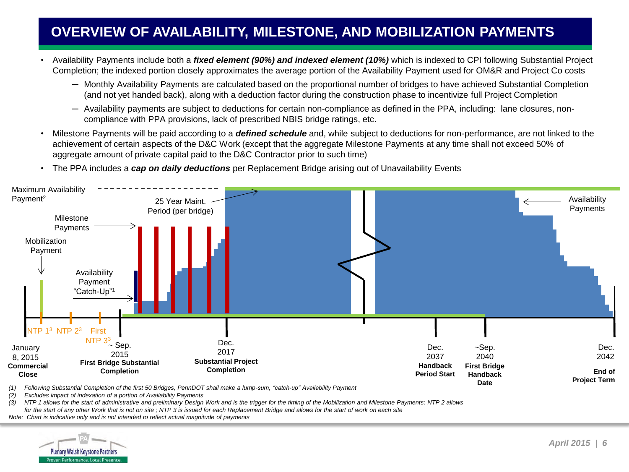## **OVERVIEW OF AVAILABILITY, MILESTONE, AND MOBILIZATION PAYMENTS**

- Availability Payments include both a *fixed element (90%) and indexed element (10%)* which is indexed to CPI following Substantial Project Completion; the indexed portion closely approximates the average portion of the Availability Payment used for OM&R and Project Co costs
	- ─ Monthly Availability Payments are calculated based on the proportional number of bridges to have achieved Substantial Completion (and not yet handed back), along with a deduction factor during the construction phase to incentivize full Project Completion
	- ─ Availability payments are subject to deductions for certain non-compliance as defined in the PPA, including: lane closures, noncompliance with PPA provisions, lack of prescribed NBIS bridge ratings, etc.
- Milestone Payments will be paid according to a *defined schedule* and, while subject to deductions for non-performance, are not linked to the achievement of certain aspects of the D&C Work (except that the aggregate Milestone Payments at any time shall not exceed 50% of aggregate amount of private capital paid to the D&C Contractor prior to such time)
- The PPA includes a *cap on daily deductions* per Replacement Bridge arising out of Unavailability Events



*(1) Following Substantial Completion of the first 50 Bridges, PennDOT shall make a lump-sum, "catch-up" Availability Payment*

*(2) Excludes impact of indexation of a portion of Availability Payments*

*(3) NTP 1 allows for the start of administrative and preliminary Design Work and is the trigger for the timing of the Mobilization and Milestone Payments; NTP 2 allows for the start of any other Work that is not on site ; NTP 3 is issued for each Replacement Bridge and allows for the start of work on each site*

*Note: Chart is indicative only and is not intended to reflect actual magnitude of payments*